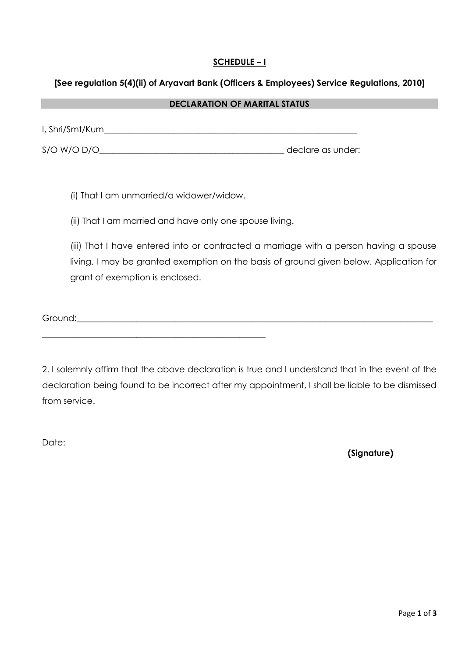# **SCHEDULE – I**

#### **[See regulation 5(4)(ii) of Aryavart Bank (Officers & Employees) Service Regulations, 2010]**

#### **DECLARATION OF MARITAL STATUS**

| I, Shri/Smt/Kum |                   |
|-----------------|-------------------|
| $S/O$ W/O D/O   | declare as under: |

(i) That I am unmarried/a widower/widow.

(ii) That I am married and have only one spouse living.

(iii) That I have entered into or contracted a marriage with a person having a spouse living. I may be granted exemption on the basis of ground given below. Application for grant of exemption is enclosed.

Ground:\_\_\_\_\_\_\_\_\_\_\_\_\_\_\_\_\_\_\_\_\_\_\_\_\_\_\_\_\_\_\_\_\_\_\_\_\_\_\_\_\_\_\_\_\_\_\_\_\_\_\_\_\_\_\_\_\_\_\_\_\_\_\_\_\_\_\_\_\_\_\_\_\_\_\_\_\_\_\_\_\_\_\_

\_\_\_\_\_\_\_\_\_\_\_\_\_\_\_\_\_\_\_\_\_\_\_\_\_\_\_\_\_\_\_\_\_\_\_\_\_\_\_\_\_\_\_\_\_\_\_\_\_\_\_\_

2. I solemnly affirm that the above declaration is true and I understand that in the event of the declaration being found to be incorrect after my appointment, I shall be liable to be dismissed from service.

Date:

 **(Signature)**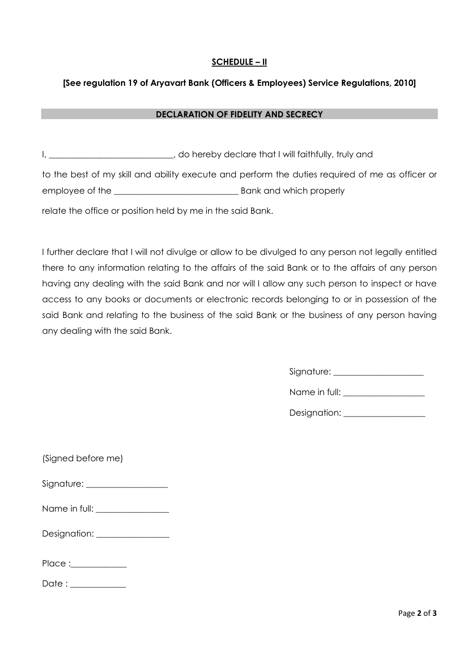# **SCHEDULE – II**

### **[See regulation 19 of Aryavart Bank (Officers & Employees) Service Regulations, 2010]**

#### **DECLARATION OF FIDELITY AND SECRECY**

I, \_\_\_\_\_\_\_\_\_\_\_\_\_\_\_\_\_\_\_\_\_\_\_\_\_\_, do hereby declare that I will faithfully, truly and to the best of my skill and ability execute and perform the duties required of me as officer or employee of the \_\_\_\_\_\_\_\_\_\_\_\_\_\_\_\_\_\_\_\_\_\_\_\_\_\_\_\_\_ Bank and which properly relate the office or position held by me in the said Bank.

I further declare that I will not divulge or allow to be divulged to any person not legally entitled there to any information relating to the affairs of the said Bank or to the affairs of any person having any dealing with the said Bank and nor will I allow any such person to inspect or have access to any books or documents or electronic records belonging to or in possession of the said Bank and relating to the business of the said Bank or the business of any person having any dealing with the said Bank.

Signature: \_\_\_\_\_\_\_\_\_\_\_\_\_\_\_\_\_\_\_\_\_

Name in full: \_\_\_\_\_\_\_\_\_\_\_\_\_\_\_\_\_\_\_

Designation: \_\_\_\_\_\_\_\_\_\_\_\_\_\_\_\_\_\_\_

| (Signed before me)              |  |
|---------------------------------|--|
| Signature: __________________   |  |
| Name in full: _________________ |  |
|                                 |  |
| Place :____________             |  |
| Date : ___________              |  |